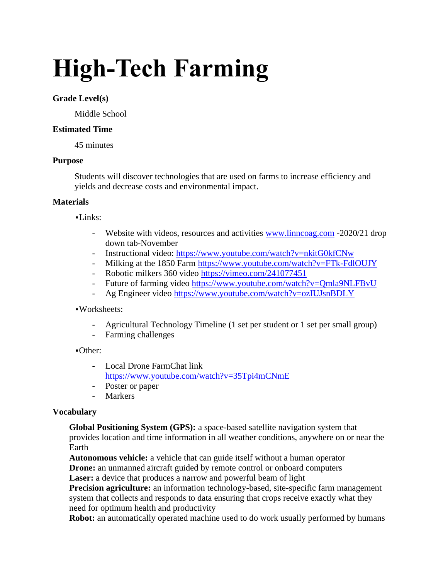# **High-Tech Farming**

### **Grade Level(s)**

Middle School

# **Estimated Time**

45 minutes

## **Purpose**

Students will discover technologies that are used on farms to increase efficiency and yields and decrease costs and environmental impact.

## **Materials**

 $-Links:$ 

- Website with videos, resources and activities [www.linncoag.com](http://www.linncoag.com/) -2020/21 drop down tab-November
- Instructional video:<https://www.youtube.com/watch?v=nkitG0kfCNw>
- Milking at the 1850 Farm<https://www.youtube.com/watch?v=FTk-FdlOUJY>
- Robotic milkers 360 video<https://vimeo.com/241077451>
- Future of farming video<https://www.youtube.com/watch?v=Qmla9NLFBvU>
- Ag Engineer video<https://www.youtube.com/watch?v=ozIUJsnBDLY>

# ▪Worksheets:

- Agricultural Technology Timeline (1 set per student or 1 set per small group)
- Farming challenges

# ▪Other:

- Local Drone FarmChat link <https://www.youtube.com/watch?v=35Tpi4mCNmE>
- Poster or paper
- Markers

# **Vocabulary**

**Global Positioning System (GPS):** a space-based satellite navigation system that provides location and time information in all weather conditions, anywhere on or near the Earth

**Autonomous vehicle:** a vehicle that can guide itself without a human operator **Drone:** an unmanned aircraft guided by remote control or onboard computers

**Laser:** a device that produces a narrow and powerful beam of light

**Precision agriculture:** an information technology-based, site-specific farm management system that collects and responds to data ensuring that crops receive exactly what they need for optimum health and productivity

**Robot:** an automatically operated machine used to do work usually performed by humans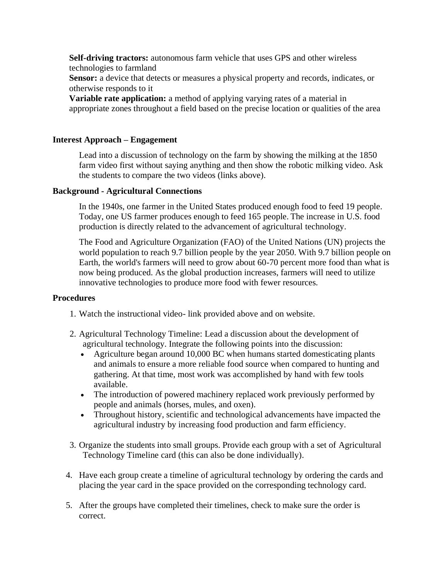**Self-driving tractors:** autonomous farm vehicle that uses GPS and other wireless technologies to farmland

Sensor: a device that detects or measures a physical property and records, indicates, or otherwise responds to it

**Variable rate application:** a method of applying varying rates of a material in appropriate zones throughout a field based on the precise location or qualities of the area

#### **Interest Approach – Engagement**

Lead into a discussion of technology on the farm by showing the milking at the 1850 farm video first without saying anything and then show the robotic milking video. Ask the students to compare the two videos (links above).

#### **Background - Agricultural Connections**

In the 1940s, one farmer in the United States produced enough food to feed 19 people. Today, one US farmer produces enough to feed 165 people. The increase in U.S. food production is directly related to the advancement of agricultural technology.

The Food and Agriculture Organization (FAO) of the United Nations (UN) projects the world population to reach 9.7 billion people by the year 2050. With 9.7 billion people on Earth, the world's farmers will need to grow about 60-70 percent more food than what is now being produced. As the global production increases, farmers will need to utilize innovative technologies to produce more food with fewer resources.

#### **Procedures**

- 1. Watch the instructional video- link provided above and on website.
- 2. Agricultural Technology Timeline: Lead a discussion about the development of agricultural technology. Integrate the following points into the discussion:
	- Agriculture began around 10,000 BC when humans started domesticating plants and animals to ensure a more reliable food source when compared to hunting and gathering. At that time, most work was accomplished by hand with few tools available.
	- The introduction of powered machinery replaced work previously performed by people and animals (horses, mules, and oxen).
	- Throughout history, scientific and technological advancements have impacted the agricultural industry by increasing food production and farm efficiency.
- 3. Organize the students into small groups. Provide each group with a set of Agricultural Technology Timeline card (this can also be done individually).
- 4. Have each group create a timeline of agricultural technology by ordering the cards and placing the year card in the space provided on the corresponding technology card.
- 5. After the groups have completed their timelines, check to make sure the order is correct.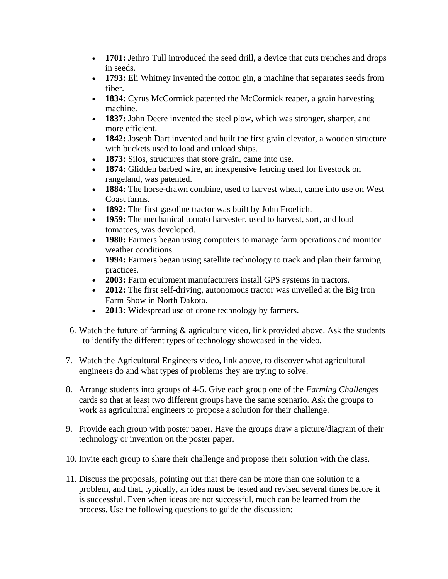- **1701:** Jethro Tull introduced the seed drill, a device that cuts trenches and drops in seeds.
- **1793:** Eli Whitney invented the cotton gin, a machine that separates seeds from fiber.
- **1834:** Cyrus McCormick patented the McCormick reaper, a grain harvesting machine.
- **1837:** John Deere invented the steel plow, which was stronger, sharper, and more efficient.
- **1842:** Joseph Dart invented and built the first grain elevator, a wooden structure with buckets used to load and unload ships.
- **1873:** Silos, structures that store grain, came into use.
- **1874:** Glidden barbed wire, an inexpensive fencing used for livestock on rangeland, was patented.
- **1884:** The horse-drawn combine, used to harvest wheat, came into use on West Coast farms.
- **1892:** The first gasoline tractor was built by John Froelich.
- **1959:** The mechanical tomato harvester, used to harvest, sort, and load tomatoes, was developed.
- **1980:** Farmers began using computers to manage farm operations and monitor weather conditions.
- **1994:** Farmers began using satellite technology to track and plan their farming practices.
- **2003:** Farm equipment manufacturers install GPS systems in tractors.
- **2012:** The first self-driving, autonomous tractor was unveiled at the Big Iron Farm Show in North Dakota.
- **2013:** Widespread use of drone technology by farmers.
- 6. Watch the future of farming & agriculture video, link provided above. Ask the students to identify the different types of technology showcased in the video.
- 7. Watch the [Agricultural Engineers](https://www.youtube.com/watch?v=ozIUJsnBDLY) video, link above, to discover what agricultural engineers do and what types of problems they are trying to solve.
- 8. Arrange students into groups of 4-5. Give each group one of the *Farming Challenges* cards so that at least two different groups have the same scenario. Ask the groups to work as agricultural engineers to propose a solution for their challenge.
- 9. Provide each group with poster paper. Have the groups draw a picture/diagram of their technology or invention on the poster paper.
- 10. Invite each group to share their challenge and propose their solution with the class.
- 11. Discuss the proposals, pointing out that there can be more than one solution to a problem, and that, typically, an idea must be tested and revised several times before it is successful. Even when ideas are not successful, much can be learned from the process. Use the following questions to guide the discussion: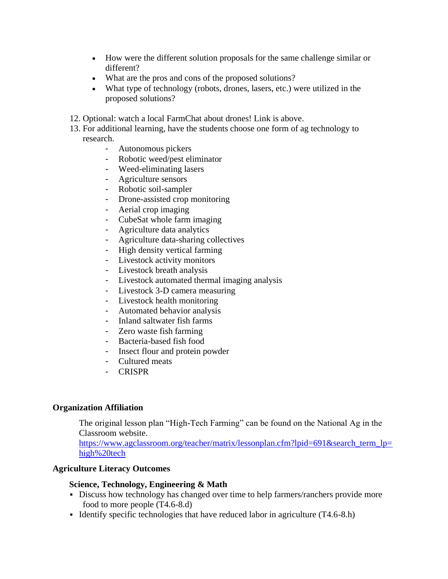- How were the different solution proposals for the same challenge similar or different?
- What are the pros and cons of the proposed solutions?
- What type of technology (robots, drones, lasers, etc.) were utilized in the proposed solutions?
- 12. Optional: watch a local FarmChat about drones! Link is above.
- 13. For additional learning, have the students choose one form of ag technology to research.
	- Autonomous pickers
	- Robotic weed/pest eliminator
	- Weed-eliminating lasers
	- Agriculture sensors
	- Robotic soil-sampler
	- Drone-assisted crop monitoring
	- Aerial crop imaging
	- CubeSat whole farm imaging
	- Agriculture data analytics
	- Agriculture data-sharing collectives
	- High density vertical farming
	- Livestock activity monitors
	- Livestock breath analysis
	- Livestock automated thermal imaging analysis
	- Livestock 3-D camera measuring
	- Livestock health monitoring
	- Automated behavior analysis
	- Inland saltwater fish farms
	- Zero waste fish farming
	- Bacteria-based fish food
	- Insect flour and protein powder
	- Cultured meats
	- CRISPR

# **Organization Affiliation**

The original lesson plan "High-Tech Farming" can be found on the National Ag in the Classroom website.

[https://www.agclassroom.org/teacher/matrix/lessonplan.cfm?lpid=691&search\\_term\\_lp=](https://www.agclassroom.org/teacher/matrix/lessonplan.cfm?lpid=691&search_term_lp=high%20tech) [high%20tech](https://www.agclassroom.org/teacher/matrix/lessonplan.cfm?lpid=691&search_term_lp=high%20tech)

# **Agriculture Literacy Outcomes**

# **Science, Technology, Engineering & Math**

- **EXECUTE:** Discuss how technology has changed over time to help farmers/ranchers provide more food to more people (T4.6-8.d)
- Identify specific technologies that have reduced labor in agriculture (T4.6-8.h)